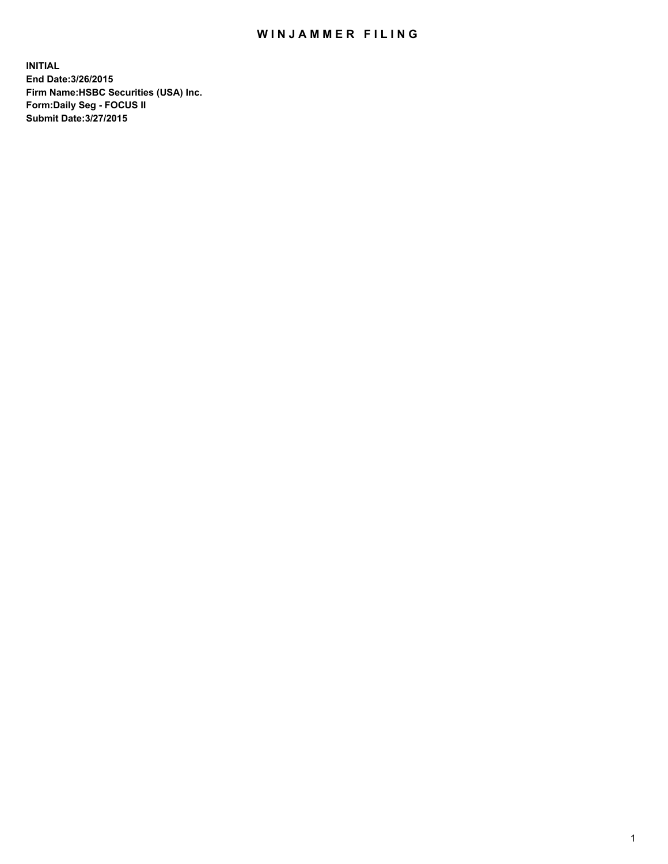## WIN JAMMER FILING

**INITIAL End Date:3/26/2015 Firm Name:HSBC Securities (USA) Inc. Form:Daily Seg - FOCUS II Submit Date:3/27/2015**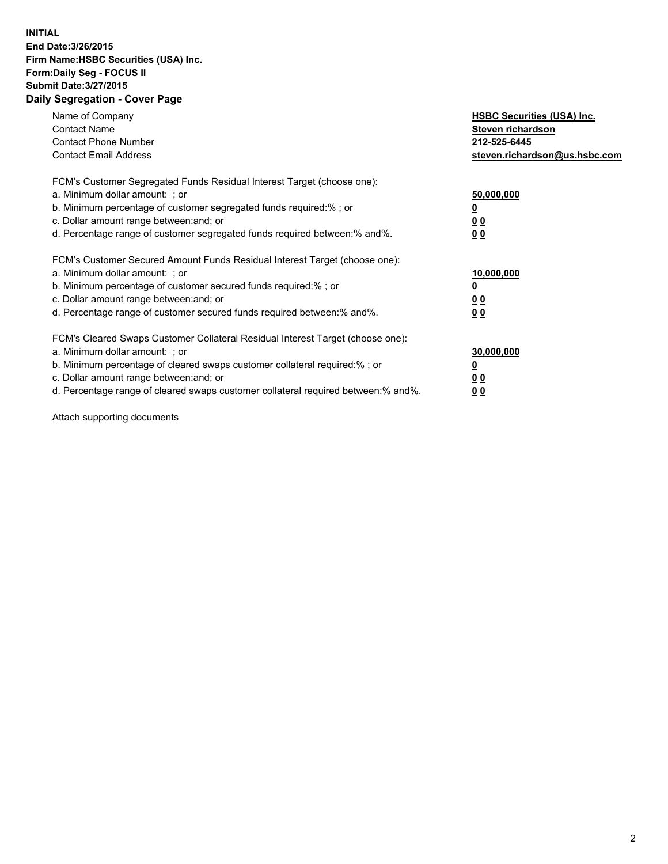## **INITIAL End Date:3/26/2015 Firm Name:HSBC Securities (USA) Inc. Form:Daily Seg - FOCUS II Submit Date:3/27/2015 Daily Segregation - Cover Page**

| Name of Company<br><b>Contact Name</b><br><b>Contact Phone Number</b><br><b>Contact Email Address</b>                                                                                                                                                                                                                         | <b>HSBC Securities (USA) Inc.</b><br>Steven richardson<br>212-525-6445<br>steven.richardson@us.hsbc.com |
|-------------------------------------------------------------------------------------------------------------------------------------------------------------------------------------------------------------------------------------------------------------------------------------------------------------------------------|---------------------------------------------------------------------------------------------------------|
| FCM's Customer Segregated Funds Residual Interest Target (choose one):<br>a. Minimum dollar amount: ; or<br>b. Minimum percentage of customer segregated funds required:%; or<br>c. Dollar amount range between: and; or<br>d. Percentage range of customer segregated funds required between:% and%.                         | 50,000,000<br>00<br>0 <sub>0</sub>                                                                      |
| FCM's Customer Secured Amount Funds Residual Interest Target (choose one):<br>a. Minimum dollar amount: ; or<br>b. Minimum percentage of customer secured funds required:%; or<br>c. Dollar amount range between: and; or<br>d. Percentage range of customer secured funds required between:% and%.                           | 10,000,000<br>0 <sub>0</sub><br>00                                                                      |
| FCM's Cleared Swaps Customer Collateral Residual Interest Target (choose one):<br>a. Minimum dollar amount: ; or<br>b. Minimum percentage of cleared swaps customer collateral required:%; or<br>c. Dollar amount range between: and; or<br>d. Percentage range of cleared swaps customer collateral required between:% and%. | 30,000,000<br><u>00</u><br><u>00</u>                                                                    |

Attach supporting documents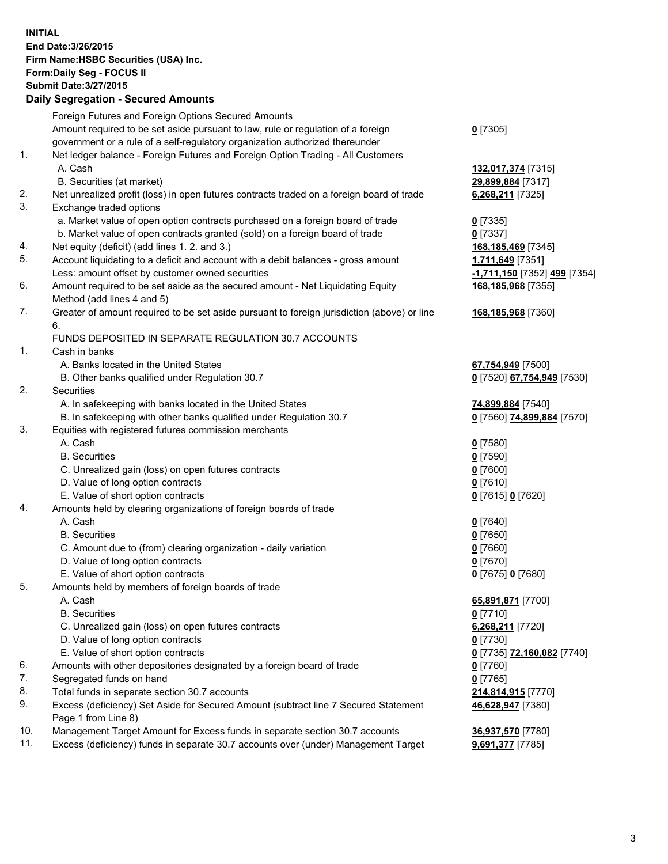**INITIAL End Date:3/26/2015 Firm Name:HSBC Securities (USA) Inc. Form:Daily Seg - FOCUS II Submit Date:3/27/2015 Daily Segregation - Secured Amounts**

Foreign Futures and Foreign Options Secured Amounts Amount required to be set aside pursuant to law, rule or regulation of a foreign government or a rule of a self-regulatory organization authorized thereunder **0** [7305] 1. Net ledger balance - Foreign Futures and Foreign Option Trading - All Customers A. Cash **132,017,374** [7315] B. Securities (at market) **29,899,884** [7317] 2. Net unrealized profit (loss) in open futures contracts traded on a foreign board of trade **6,268,211** [7325] 3. Exchange traded options a. Market value of open option contracts purchased on a foreign board of trade **0** [7335] b. Market value of open contracts granted (sold) on a foreign board of trade **0** [7337] 4. Net equity (deficit) (add lines 1. 2. and 3.) **168,185,469** [7345] 5. Account liquidating to a deficit and account with a debit balances - gross amount **1,711,649** [7351] Less: amount offset by customer owned securities **-1,711,150** [7352] **499** [7354] 6. Amount required to be set aside as the secured amount - Net Liquidating Equity Method (add lines 4 and 5) **168,185,968** [7355] 7. Greater of amount required to be set aside pursuant to foreign jurisdiction (above) or line 6. **168,185,968** [7360] FUNDS DEPOSITED IN SEPARATE REGULATION 30.7 ACCOUNTS 1. Cash in banks A. Banks located in the United States **67,754,949** [7500] B. Other banks qualified under Regulation 30.7 **0** [7520] **67,754,949** [7530] 2. Securities A. In safekeeping with banks located in the United States **74,899,884** [7540] B. In safekeeping with other banks qualified under Regulation 30.7 **0** [7560] **74,899,884** [7570] 3. Equities with registered futures commission merchants A. Cash **0** [7580] B. Securities **0** [7590] C. Unrealized gain (loss) on open futures contracts **0** [7600] D. Value of long option contracts **0** [7610] E. Value of short option contracts **0** [7615] **0** [7620] 4. Amounts held by clearing organizations of foreign boards of trade A. Cash **0** [7640] B. Securities **0** [7650] C. Amount due to (from) clearing organization - daily variation **0** [7660] D. Value of long option contracts **0** [7670] E. Value of short option contracts **0** [7675] **0** [7680] 5. Amounts held by members of foreign boards of trade A. Cash **65,891,871** [7700] B. Securities **0** [7710] C. Unrealized gain (loss) on open futures contracts **6,268,211** [7720] D. Value of long option contracts **0** [7730] E. Value of short option contracts **0** [7735] **72,160,082** [7740] 6. Amounts with other depositories designated by a foreign board of trade **0** [7760] 7. Segregated funds on hand **0** [7765] 8. Total funds in separate section 30.7 accounts **214,814,915** [7770] 9. Excess (deficiency) Set Aside for Secured Amount (subtract line 7 Secured Statement Page 1 from Line 8) **46,628,947** [7380] 10. Management Target Amount for Excess funds in separate section 30.7 accounts **36,937,570** [7780] 11. Excess (deficiency) funds in separate 30.7 accounts over (under) Management Target **9,691,377** [7785]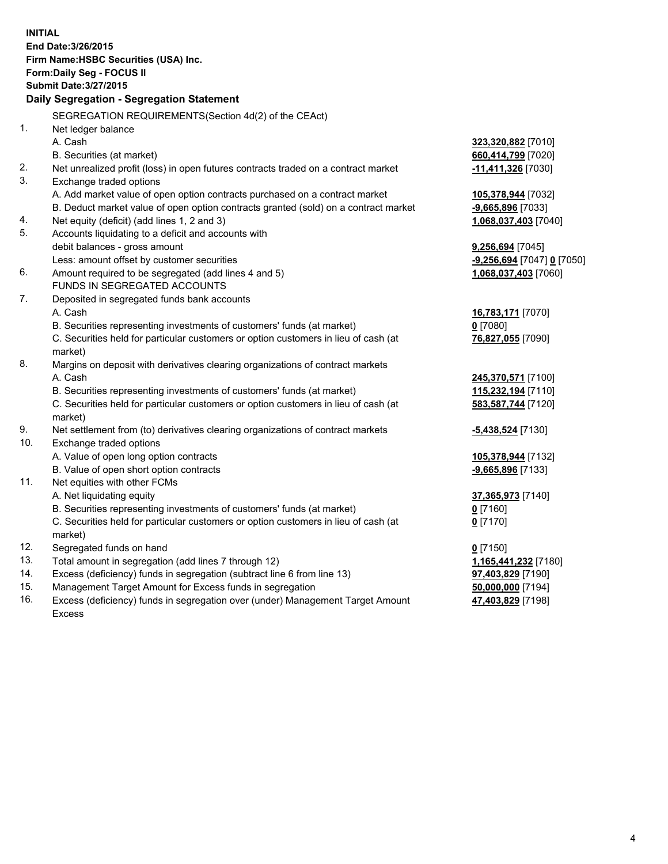| <b>INITIAL</b> | End Date: 3/26/2015<br>Firm Name: HSBC Securities (USA) Inc.<br>Form: Daily Seg - FOCUS II                    |                            |
|----------------|---------------------------------------------------------------------------------------------------------------|----------------------------|
|                | <b>Submit Date: 3/27/2015</b>                                                                                 |                            |
|                | Daily Segregation - Segregation Statement                                                                     |                            |
|                | SEGREGATION REQUIREMENTS(Section 4d(2) of the CEAct)                                                          |                            |
| 1.             | Net ledger balance                                                                                            |                            |
|                | A. Cash                                                                                                       | 323,320,882 [7010]         |
|                | B. Securities (at market)                                                                                     | 660,414,799 [7020]         |
| 2.<br>3.       | Net unrealized profit (loss) in open futures contracts traded on a contract market<br>Exchange traded options | $-11,411,326$ [7030]       |
|                | A. Add market value of open option contracts purchased on a contract market                                   | 105,378,944 [7032]         |
|                | B. Deduct market value of open option contracts granted (sold) on a contract market                           | -9,665,896 [7033]          |
| 4.             | Net equity (deficit) (add lines 1, 2 and 3)                                                                   | 1,068,037,403 [7040]       |
| 5.             | Accounts liquidating to a deficit and accounts with                                                           |                            |
|                | debit balances - gross amount                                                                                 | 9,256,694 [7045]           |
|                | Less: amount offset by customer securities                                                                    | -9,256,694 [7047] 0 [7050] |
| 6.             | Amount required to be segregated (add lines 4 and 5)                                                          | 1,068,037,403 [7060]       |
|                | FUNDS IN SEGREGATED ACCOUNTS                                                                                  |                            |
| 7.             | Deposited in segregated funds bank accounts                                                                   |                            |
|                | A. Cash                                                                                                       | 16,783,171 [7070]          |
|                | B. Securities representing investments of customers' funds (at market)                                        | $0$ [7080]                 |
|                | C. Securities held for particular customers or option customers in lieu of cash (at<br>market)                | 76,827,055 [7090]          |
| 8.             | Margins on deposit with derivatives clearing organizations of contract markets                                |                            |
|                | A. Cash                                                                                                       | 245,370,571 [7100]         |
|                | B. Securities representing investments of customers' funds (at market)                                        | 115,232,194 [7110]         |
|                | C. Securities held for particular customers or option customers in lieu of cash (at<br>market)                | 583,587,744 [7120]         |
| 9.             | Net settlement from (to) derivatives clearing organizations of contract markets                               | -5,438,524 [7130]          |
| 10.            | Exchange traded options                                                                                       |                            |
|                | A. Value of open long option contracts                                                                        | 105,378,944 [7132]         |
|                | B. Value of open short option contracts                                                                       | -9,665,896 [7133]          |
| 11.            | Net equities with other FCMs                                                                                  |                            |
|                | A. Net liquidating equity                                                                                     | 37,365,973 [7140]          |
|                | B. Securities representing investments of customers' funds (at market)                                        | $0$ [7160]                 |
|                | C. Securities held for particular customers or option customers in lieu of cash (at<br>market)                | $0$ [7170]                 |
| 12.            | Segregated funds on hand                                                                                      | $0$ [7150]                 |
| 13.            | Total amount in segregation (add lines 7 through 12)                                                          | 1,165,441,232 [7180]       |
| 14.            | Excess (deficiency) funds in segregation (subtract line 6 from line 13)                                       | 97,403,829 [7190]          |
| 15.            | Management Target Amount for Excess funds in segregation                                                      | 50,000,000 [7194]          |
| 16.            | Excess (deficiency) funds in segregation over (under) Management Target Amount                                | 47,403,829 [7198]          |

16. Excess (deficiency) funds in segregation over (under) Management Target Amount Excess